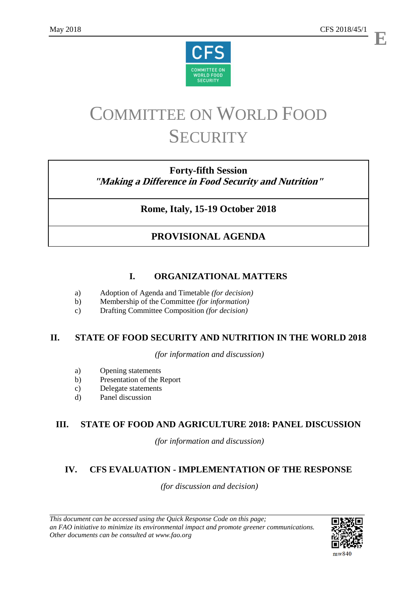**E**



# COMMITTEE ON WORLD FOOD **SECURITY**

## **Forty-fifth Session "Making a Difference in Food Security and Nutrition"**

## **Rome, Italy, 15-19 October 2018**

## **PROVISIONAL AGENDA**

## **I. ORGANIZATIONAL MATTERS**

- a) Adoption of Agenda and Timetable *(for decision)*
- b) Membership of the Committee *(for information)*
- c) Drafting Committee Composition *(for decision)*

## **II. STATE OF FOOD SECURITY AND NUTRITION IN THE WORLD 2018**

*(for information and discussion)*

- a) Opening statements
- b) Presentation of the Report
- c) Delegate statements
- d) Panel discussion

### **III. STATE OF FOOD AND AGRICULTURE 2018: PANEL DISCUSSION**

*(for information and discussion)*

## **IV. CFS EVALUATION - IMPLEMENTATION OF THE RESPONSE**

*(for discussion and decision)*